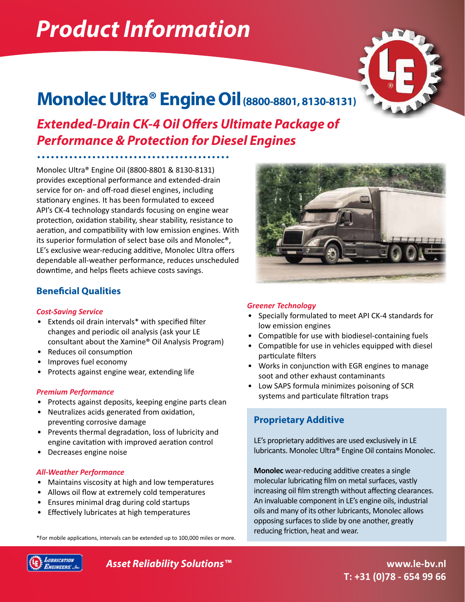# *Product Information*



# **Monolec Ultra® Engine Oil (8800-8801, 8130-8131)**

*Extended-Drain CK-4 Oil Offers Ultimate Package of Performance & Protection for Diesel Engines*

Monolec Ultra® Engine Oil (8800-8801 & 8130-8131) provides exceptional performance and extended-drain service for on- and off-road diesel engines, including stationary engines. It has been formulated to exceed API's CK-4 technology standards focusing on engine wear protection, oxidation stability, shear stability, resistance to aeration, and compatibility with low emission engines. With its superior formulation of select base oils and Monolec®, LE's exclusive wear-reducing additive, Monolec Ultra offers dependable all-weather performance, reduces unscheduled downtime, and helps fleets achieve costs savings.

# **Beneficial Qualities**

## *Cost-Saving Service*

- Extends oil drain intervals\* with specified filter changes and periodic oil analysis (ask your LE consultant about the Xamine® Oil Analysis Program)
- Reduces oil consumption
- Improves fuel economy
- Protects against engine wear, extending life

## *Premium Performance*

- Protects against deposits, keeping engine parts clean
- Neutralizes acids generated from oxidation, preventing corrosive damage
- Prevents thermal degradation, loss of lubricity and engine cavitation with improved aeration control
- Decreases engine noise

## *All-Weather Performance*

- Maintains viscosity at high and low temperatures
- Allows oil flow at extremely cold temperatures
- Ensures minimal drag during cold startups
- Effectively lubricates at high temperatures





#### *Greener Technology*

- Specially formulated to meet API CK-4 standards for low emission engines
- Compatible for use with biodiesel-containing fuels
- Compatible for use in vehicles equipped with diesel particulate filters
- Works in conjunction with EGR engines to manage soot and other exhaust contaminants
- Low SAPS formula minimizes poisoning of SCR systems and particulate filtration traps

# **Proprietary Additive**

LE's proprietary additives are used exclusively in LE lubricants. Monolec Ultra® Engine Oil contains Monolec.

**Monolec** wear-reducing additive creates a single molecular lubricating film on metal surfaces, vastly increasing oil film strength without affecting clearances. An invaluable component in LE's engine oils, industrial oils and many of its other lubricants, Monolec allows opposing surfaces to slide by one another, greatly reducing friction, heat and wear.



*Asset Reliability Solutions™*

**www.le-bv.nl T: +31 (0)78 - 654 99 66**